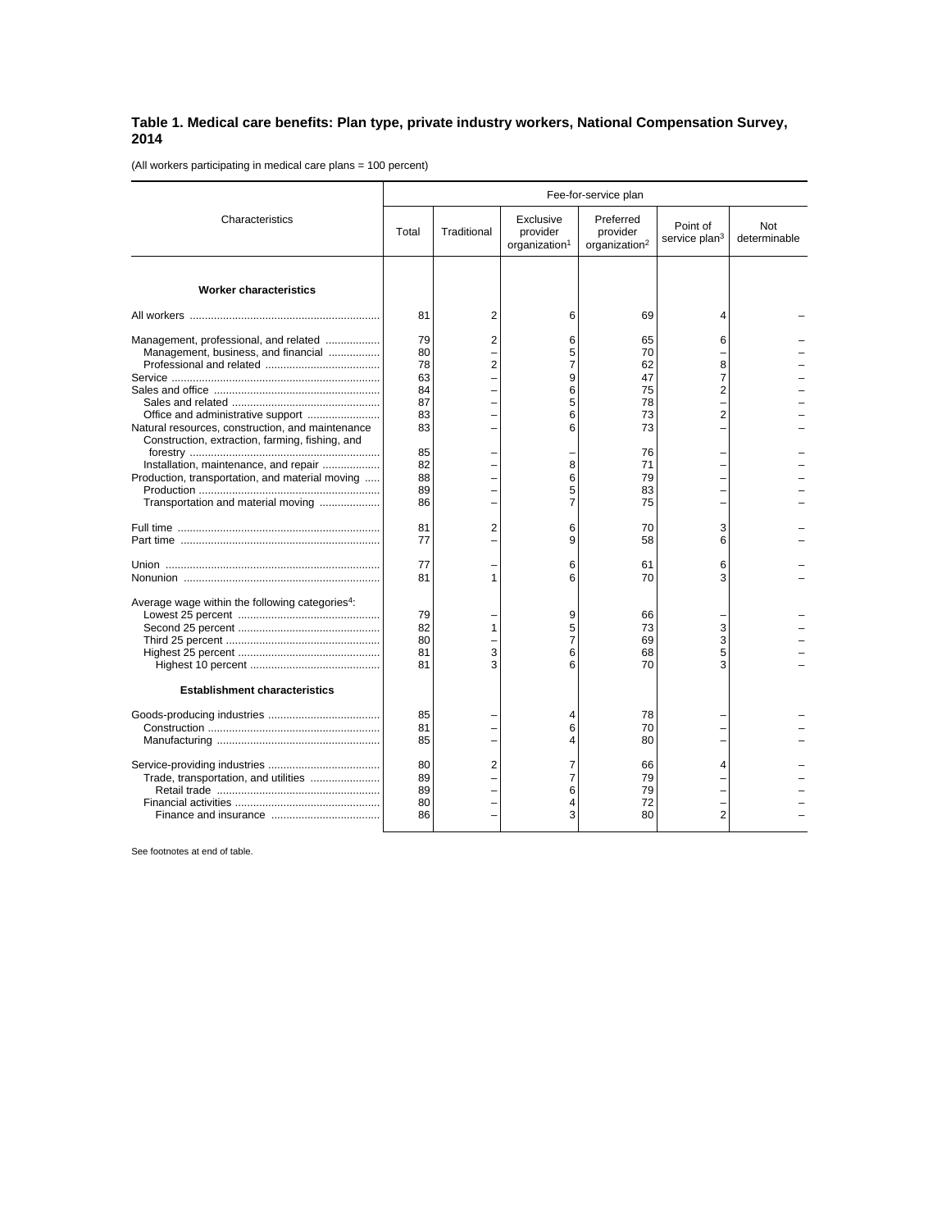## **Table 1. Medical care benefits: Plan type, private industry workers, National Compensation Survey, 2014**

(All workers participating in medical care plans = 100 percent)

|                                                                                                                                                                                     | Fee-for-service plan                               |                                  |                                                    |                                                    |                                       |                     |
|-------------------------------------------------------------------------------------------------------------------------------------------------------------------------------------|----------------------------------------------------|----------------------------------|----------------------------------------------------|----------------------------------------------------|---------------------------------------|---------------------|
| Characteristics                                                                                                                                                                     | Total                                              | Traditional                      | Exclusive<br>provider<br>organization <sup>1</sup> | Preferred<br>provider<br>organization <sup>2</sup> | Point of<br>service plan <sup>3</sup> | Not<br>determinable |
| <b>Worker characteristics</b>                                                                                                                                                       |                                                    |                                  |                                                    |                                                    |                                       |                     |
|                                                                                                                                                                                     | 81                                                 | 2                                | 6                                                  | 69                                                 | 4                                     |                     |
| Management, professional, and related<br>Management, business, and financial<br>Natural resources, construction, and maintenance<br>Construction, extraction, farming, fishing, and | 79<br>80<br>78<br>63<br>84<br>87<br>83<br>83<br>85 | $\overline{2}$<br>$\overline{2}$ | 6<br>5<br>7<br>9<br>6<br>5<br>6<br>6               | 65<br>70<br>62<br>47<br>75<br>78<br>73<br>73<br>76 | 6<br>8<br>7<br>2<br>$\overline{2}$    |                     |
| Installation, maintenance, and repair<br>Production, transportation, and material moving<br>Transportation and material moving                                                      | 82<br>88<br>89<br>86                               |                                  | 8<br>6<br>5<br>$\overline{7}$                      | 71<br>79<br>83<br>75                               |                                       |                     |
|                                                                                                                                                                                     | 81<br>77                                           | $\overline{2}$                   | 6<br>9                                             | 70<br>58                                           | 3<br>6                                |                     |
|                                                                                                                                                                                     | 77<br>81                                           | 1                                | 6<br>6                                             | 61<br>70                                           | 6<br>3                                |                     |
| Average wage within the following categories <sup>4</sup> :                                                                                                                         | 79<br>82<br>80<br>81<br>81                         | 1<br>3<br>3                      | 9<br>5<br>$\overline{7}$<br>6<br>6                 | 66<br>73<br>69<br>68<br>70                         | 3<br>3<br>5<br>3                      |                     |
| <b>Establishment characteristics</b>                                                                                                                                                |                                                    |                                  |                                                    |                                                    |                                       |                     |
|                                                                                                                                                                                     | 85<br>81<br>85                                     |                                  | 4<br>6<br>4                                        | 78<br>70<br>80                                     |                                       |                     |
| Trade, transportation, and utilities                                                                                                                                                | 80<br>89<br>89<br>80<br>86                         | 2                                | 7<br>7<br>6<br>4<br>3                              | 66<br>79<br>79<br>72<br>80                         | 4<br>$\overline{2}$                   |                     |

See footnotes at end of table.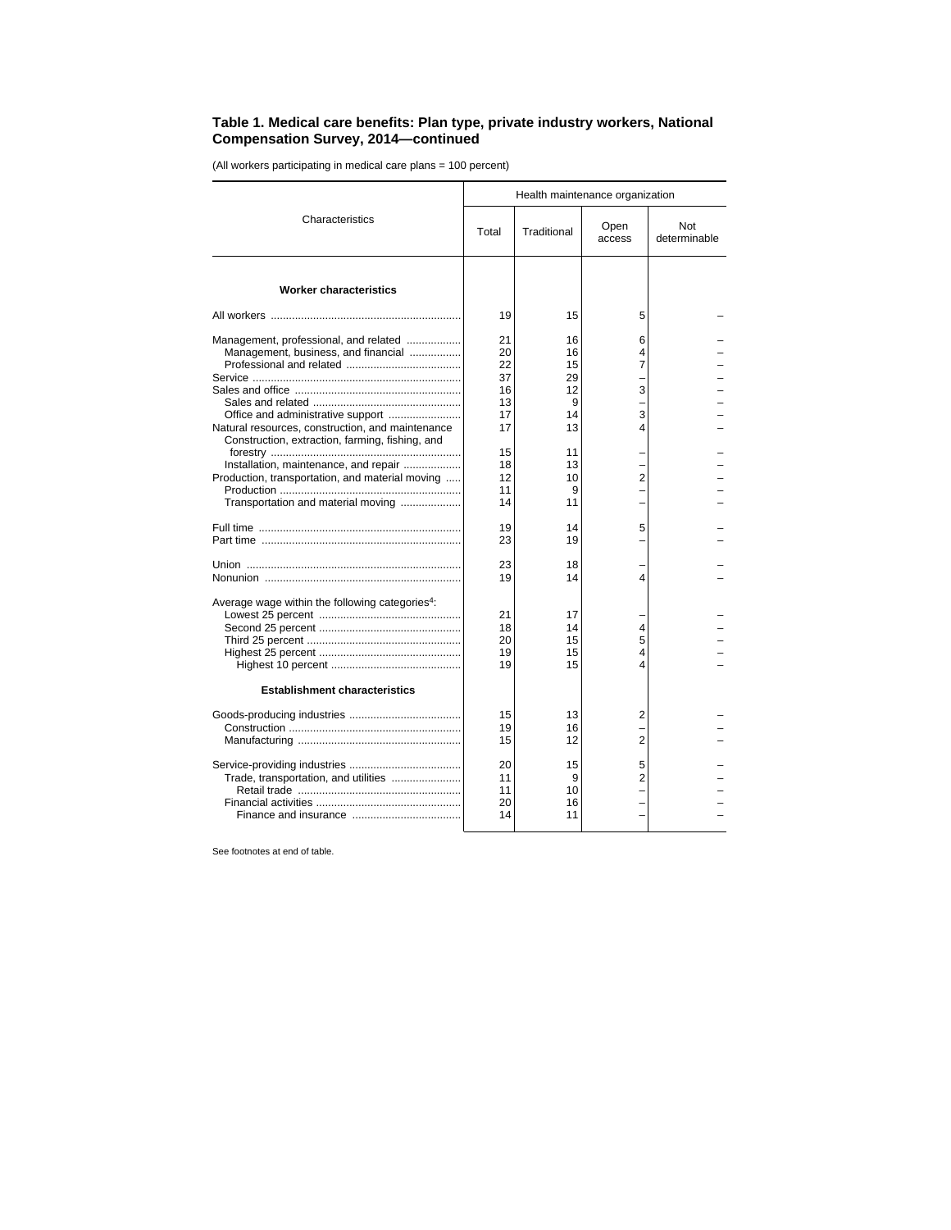## **Table 1. Medical care benefits: Plan type, private industry workers, National Compensation Survey, 2014—continued**

(All workers participating in medical care plans = 100 percent)

| Health maintenance organization                                                        |                                                                                      |                                                   |                     |  |  |
|----------------------------------------------------------------------------------------|--------------------------------------------------------------------------------------|---------------------------------------------------|---------------------|--|--|
| Total                                                                                  | Traditional                                                                          | Open<br>access                                    | Not<br>determinable |  |  |
|                                                                                        |                                                                                      |                                                   |                     |  |  |
| 19                                                                                     | 15                                                                                   | 5                                                 |                     |  |  |
| 21<br>20<br>22<br>37<br>16<br>13<br>17<br>17<br>15<br>18<br>12<br>11<br>14<br>19<br>23 | 16<br>16<br>15<br>29<br>12<br>9<br>14<br>13<br>11<br>13<br>10<br>9<br>11<br>14<br>19 | 6<br>4<br>7<br>3<br>3<br>4<br>$\overline{2}$<br>5 |                     |  |  |
| 23                                                                                     | 18                                                                                   |                                                   |                     |  |  |
| 21<br>18<br>20<br>19<br>19                                                             | 17<br>14<br>15<br>15<br>15                                                           | 4<br>5<br>4<br>4                                  |                     |  |  |
| 15<br>19<br>15<br>20<br>11<br>11<br>20<br>14                                           | 13<br>16<br>12<br>15<br>9<br>10<br>16<br>11                                          | 2<br>2<br>5<br>2                                  |                     |  |  |
|                                                                                        | 19                                                                                   | 14                                                | 4                   |  |  |

See footnotes at end of table.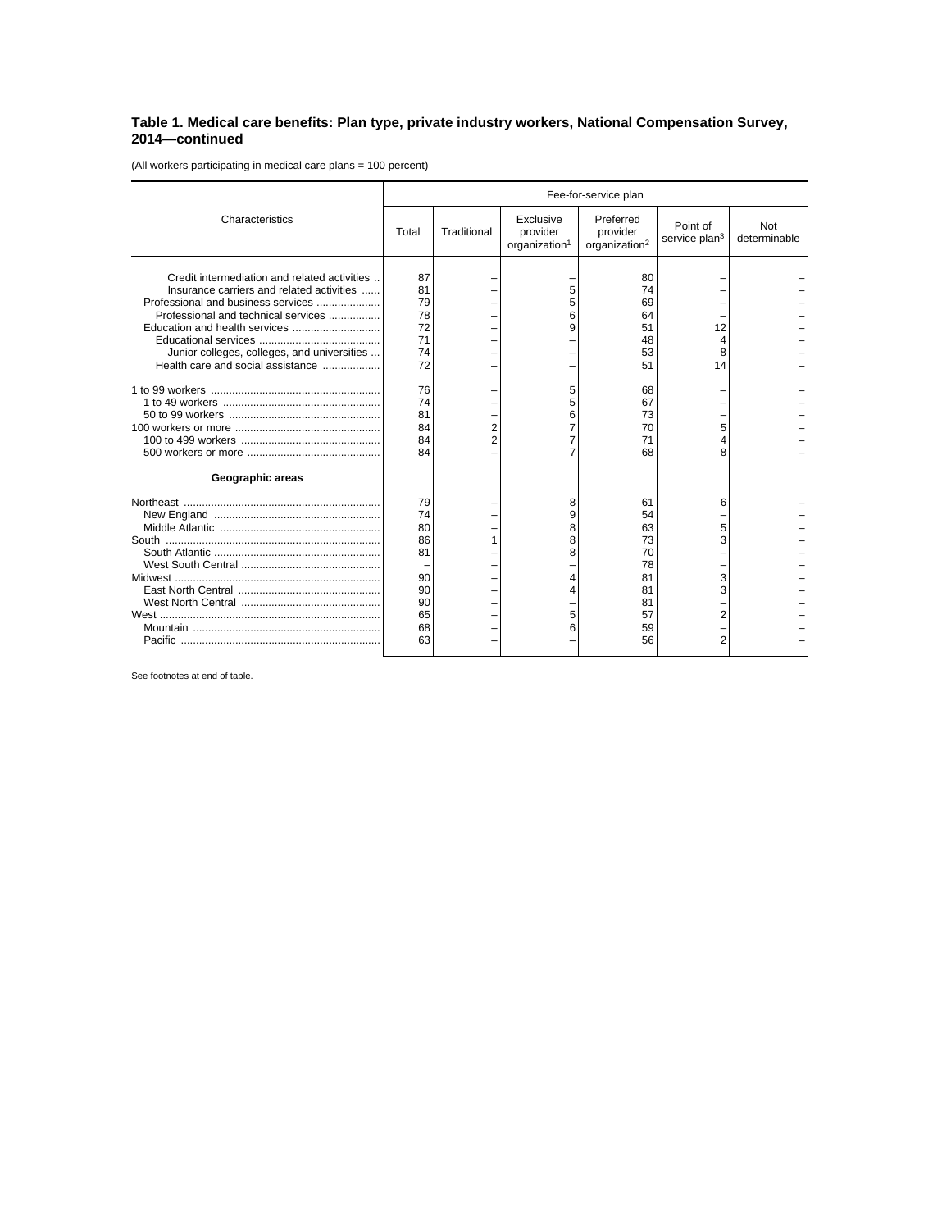## **Table 1. Medical care benefits: Plan type, private industry workers, National Compensation Survey, 2014—continued**

(All workers participating in medical care plans = 100 percent)

|                                                                                                                                                                                                                                                            | Fee-for-service plan                                                             |             |                                                    |                                                                                  |                                              |                     |
|------------------------------------------------------------------------------------------------------------------------------------------------------------------------------------------------------------------------------------------------------------|----------------------------------------------------------------------------------|-------------|----------------------------------------------------|----------------------------------------------------------------------------------|----------------------------------------------|---------------------|
| Characteristics                                                                                                                                                                                                                                            | Total                                                                            | Traditional | Exclusive<br>provider<br>organization <sup>1</sup> | Preferred<br>provider<br>organization <sup>2</sup>                               | Point of<br>service plan <sup>3</sup>        | Not<br>determinable |
| Credit intermediation and related activities<br>Insurance carriers and related activities<br>Professional and business services<br>Professional and technical services<br>Junior colleges, colleges, and universities<br>Health care and social assistance | 87<br>81<br>79<br>78<br>72<br>71<br>74<br>72<br>76<br>74<br>81<br>84<br>84<br>84 |             | 6<br>9<br>6<br>7<br>7                              | 80<br>74<br>69<br>64<br>51<br>48<br>53<br>51<br>68<br>67<br>73<br>70<br>71<br>68 | 12<br>8<br>14<br>5<br>8                      |                     |
| Geographic areas                                                                                                                                                                                                                                           |                                                                                  |             |                                                    |                                                                                  |                                              |                     |
|                                                                                                                                                                                                                                                            | 79<br>74<br>80<br>86<br>81<br>90<br>90<br>90<br>65<br>68<br>63                   |             | 8<br>9<br>8<br>8<br>8<br>5<br>6                    | 61<br>54<br>63<br>73<br>70<br>78<br>81<br>81<br>81<br>57<br>59<br>56             | 6<br>5<br>3<br>3<br>3<br>2<br>$\overline{2}$ |                     |

See footnotes at end of table.